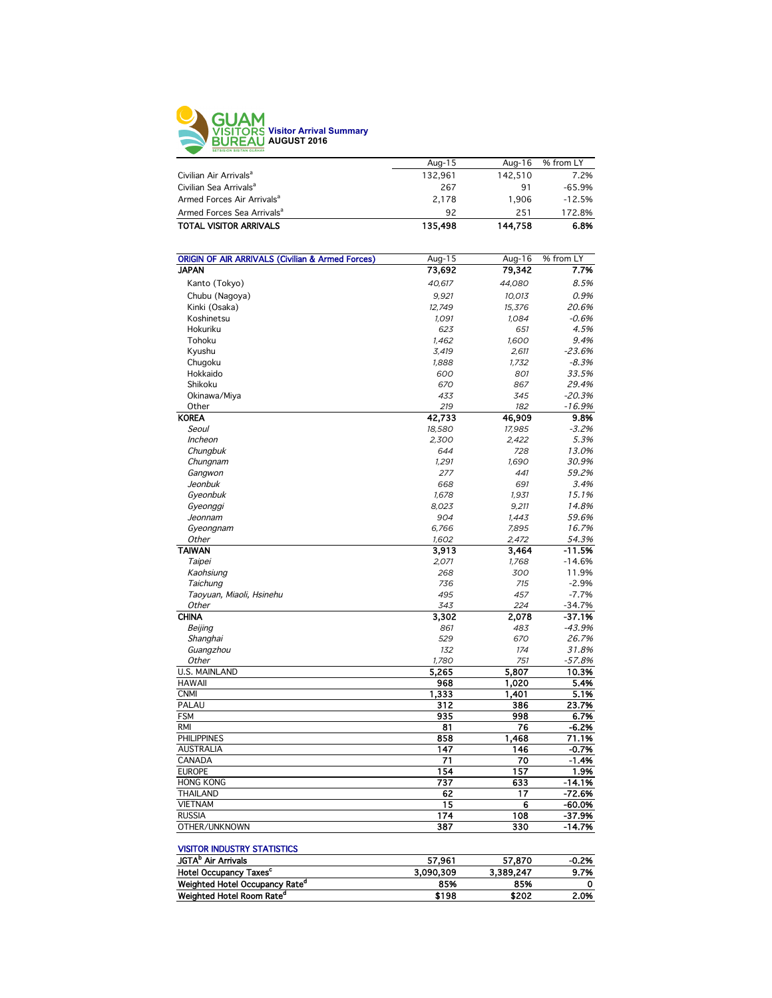

| 92      | 251     | 172.8%         |
|---------|---------|----------------|
|         |         |                |
|         |         | $-12.5%$       |
| 267     | 91      | $-65.9%$       |
| 132.961 | 142.510 | 7.2%           |
| Aug-15  | Aug-16  | % from LY      |
|         |         | 1.906<br>2.178 |

| <b>ORIGIN OF AIR ARRIVALS (Civilian &amp; Armed Forces)</b> | Aug-15 | Aug-16 | % from LY |
|-------------------------------------------------------------|--------|--------|-----------|
| <b>JAPAN</b>                                                | 73,692 | 79,342 | 7.7%      |
| Kanto (Tokyo)                                               | 40,617 | 44,080 | 8.5%      |
| Chubu (Nagoya)                                              | 9,921  | 10,013 | 0.9%      |
| Kinki (Osaka)                                               | 12,749 | 15,376 | 20.6%     |
| Koshinetsu                                                  | 1,091  | 1,084  | $-0.6%$   |
| Hokuriku                                                    | 623    | 651    | 4.5%      |
| Tohoku                                                      | 1,462  | 1,600  | 9.4%      |
| Kyushu                                                      | 3,419  | 2,611  | $-23.6%$  |
| Chugoku                                                     | 1,888  | 1,732  | $-8.3%$   |
| Hokkaido                                                    | 600    | 801    | 33.5%     |
| Shikoku                                                     | 670    | 867    | 29.4%     |
| Okinawa/Miya                                                | 433    | 345    | $-20.3%$  |
| Other                                                       | 219    | 182    | $-16.9%$  |
| <b>KOREA</b>                                                | 42,733 | 46,909 | 9.8%      |
| Seoul                                                       | 18.580 | 17.985 | $-3.2%$   |
| Incheon                                                     | 2,300  | 2,422  | 5.3%      |
| Chungbuk                                                    | 644    | 728    | 13.0%     |
| Chungnam                                                    | 1,291  | 1,690  | 30.9%     |
| Gangwon                                                     | 277    | 441    | 59.2%     |
| Jeonbuk                                                     | 668    | 691    | 3.4%      |
| Gyeonbuk                                                    | 1,678  | 1,931  | 15.1%     |
| Gyeonggi                                                    | 8,023  | 9,211  | 14.8%     |
| Jeonnam                                                     | 904    | 1,443  | 59.6%     |
| Gyeongnam                                                   | 6,766  | 7,895  | 16.7%     |
| Other                                                       | 1,602  | 2,472  | 54.3%     |
| <b>TAIWAN</b>                                               | 3,913  | 3,464  | $-11.5%$  |
| Taipei                                                      | 2,071  | 1,768  | $-14.6%$  |
| Kaohsiung                                                   | 268    | 300    | 11.9%     |
| Taichung                                                    | 736    | 715    | $-2.9%$   |
| Taoyuan, Miaoli, Hsinehu                                    | 495    | 457    | $-7.7%$   |
| Other                                                       | 343    | 224    | $-34.7%$  |
| <b>CHINA</b>                                                | 3,302  | 2.078  | $-37.1%$  |
| Beijing                                                     | 861    | 483    | $-43.9%$  |
| Shanghai                                                    | 529    | 670    | 26.7%     |
| Guangzhou                                                   | 132    | 174    | 31.8%     |
| Other                                                       | 1,780  | 751    | $-57.8%$  |
| <b>U.S. MAINLAND</b>                                        | 5,265  | 5,807  | 10.3%     |
| <b>HAWAII</b>                                               | 968    | 1,020  | 5.4%      |
| <b>CNMI</b>                                                 | 1,333  | 1,401  | 5.1%      |
| PALAU                                                       | 312    | 386    | 23.7%     |
| <b>FSM</b>                                                  | 935    | 998    | 6.7%      |
| <b>RMI</b>                                                  | 81     | 76     | $-6.2%$   |
| <b>PHILIPPINES</b>                                          | 858    | 1,468  | 71.1%     |
| <b>AUSTRALIA</b>                                            | 147    | 146    | $-0.7%$   |
| CANADA                                                      | 71     | 70     | $-1.4%$   |
| <b>EUROPE</b>                                               | 154    | 157    | 1.9%      |
| <b>HONG KONG</b>                                            | 737    | 633    | $-14.1%$  |
| <b>THAILAND</b>                                             | 62     | 17     | $-72.6%$  |
| <b>VIETNAM</b>                                              | 15     | 6      | $-60.0%$  |
| <b>RUSSIA</b>                                               | 174    | 108    | $-37.9%$  |
| OTHER/UNKNOWN                                               | 387    | 330    | $-14.7%$  |
|                                                             |        |        |           |

## **VISITOR INDUSTRY STATISTICS**

| JGTA <sup>b</sup> Air Arrivals             | 57.961    | 57.870    | -0.2% |
|--------------------------------------------|-----------|-----------|-------|
| Hotel Occupancy Taxes <sup>c</sup>         | 3.090.309 | 3.389.247 | 9.7%  |
| Weighted Hotel Occupancy Rate <sup>d</sup> | 85%       | 85%       |       |
| Weighted Hotel Room Rate <sup>a</sup>      | \$198     | \$202     | 2.0%  |
|                                            |           |           |       |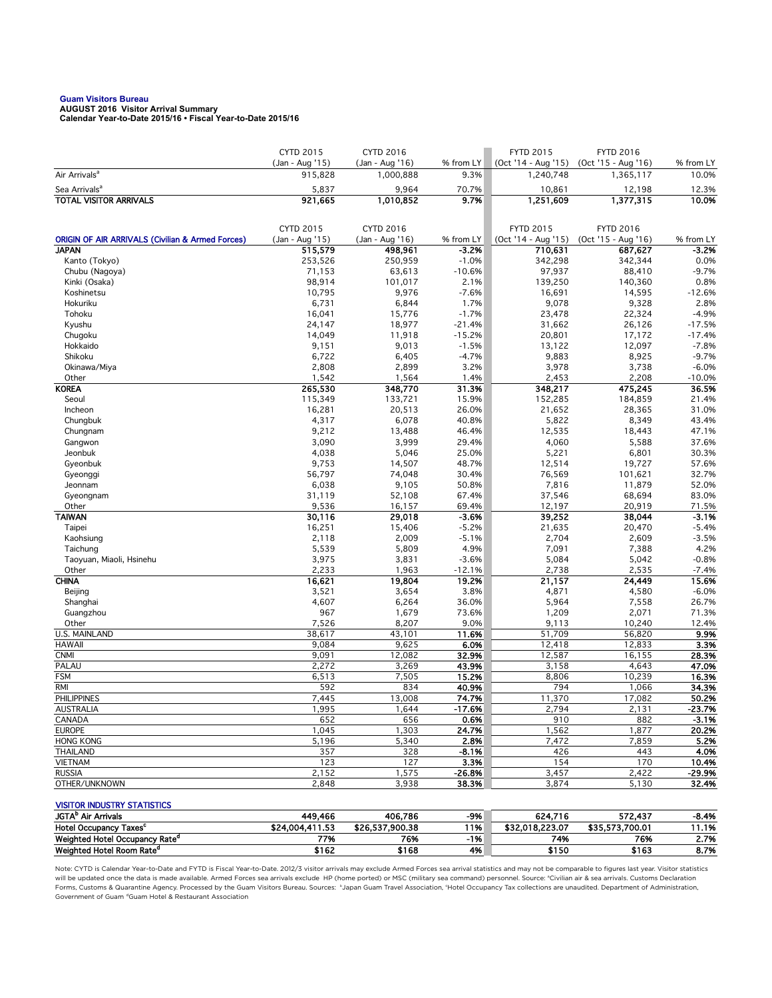## **Guam Visitors Bureau AUGUST 2016 Visitor Arrival Summary**

**Calendar Year-to-Date 2015/16 • Fiscal Year-to-Date 2015/16** 

|                                                                             | CYTD 2015                  | CYTD 2016                    |                      | <b>FYTD 2015</b>                 | <b>FYTD 2016</b>                 |                      |
|-----------------------------------------------------------------------------|----------------------------|------------------------------|----------------------|----------------------------------|----------------------------------|----------------------|
| Air Arrivals <sup>a</sup>                                                   | (Jan - Aug '15)<br>915,828 | (Jan - Aug '16)<br>1,000,888 | % from LY<br>9.3%    | (Oct '14 - Aug '15)<br>1,240,748 | (Oct '15 - Aug '16)<br>1,365,117 | % from LY<br>10.0%   |
|                                                                             |                            |                              |                      |                                  |                                  |                      |
| Sea Arrivals <sup>a</sup><br>TOTAL VISITOR ARRIVALS                         | 5,837<br>921,665           | 9,964<br>1,010,852           | 70.7%<br>9.7%        | 10,861<br>1,251,609              | 12,198<br>1,377,315              | 12.3%<br>10.0%       |
|                                                                             |                            |                              |                      |                                  |                                  |                      |
|                                                                             |                            |                              |                      |                                  |                                  |                      |
|                                                                             | CYTD 2015                  | CYTD 2016                    |                      | <b>FYTD 2015</b>                 | <b>FYTD 2016</b>                 |                      |
| <b>ORIGIN OF AIR ARRIVALS (Civilian &amp; Armed Forces)</b><br><b>JAPAN</b> | (Jan - Aug '15)            | (Jan - Aug '16)              | % from LY<br>$-3.2%$ | (Oct '14 - Aug '15)<br>710,631   | (Oct '15 - Aug '16)              | % from LY<br>$-3.2%$ |
| Kanto (Tokyo)                                                               | 515,579<br>253,526         | 498,961<br>250,959           | $-1.0%$              | 342,298                          | 687,627<br>342,344               | 0.0%                 |
| Chubu (Nagoya)                                                              | 71,153                     | 63,613                       | $-10.6%$             | 97,937                           | 88,410                           | $-9.7%$              |
| Kinki (Osaka)                                                               | 98,914                     | 101,017                      | 2.1%                 | 139,250                          | 140,360                          | 0.8%                 |
| Koshinetsu                                                                  | 10,795                     | 9,976                        | $-7.6%$              | 16,691                           | 14,595                           | $-12.6%$             |
| Hokuriku                                                                    | 6,731                      | 6,844                        | 1.7%                 | 9,078                            | 9,328                            | 2.8%                 |
| Tohoku                                                                      | 16,041                     | 15,776                       | $-1.7%$              | 23,478                           | 22,324                           | $-4.9%$              |
| Kyushu                                                                      | 24,147                     | 18,977                       | $-21.4%$             | 31,662                           | 26,126                           | $-17.5%$             |
| Chugoku                                                                     | 14,049                     | 11,918                       | $-15.2%$             | 20,801                           | 17,172                           | $-17.4%$             |
| Hokkaido<br>Shikoku                                                         | 9,151<br>6,722             | 9,013<br>6,405               | $-1.5%$<br>$-4.7%$   | 13,122<br>9,883                  | 12,097<br>8,925                  | $-7.8%$<br>$-9.7%$   |
| Okinawa/Miya                                                                | 2,808                      | 2,899                        | 3.2%                 | 3,978                            | 3,738                            | $-6.0%$              |
| Other                                                                       | 1,542                      | 1,564                        | 1.4%                 | 2,453                            | 2,208                            | $-10.0%$             |
| <b>KOREA</b>                                                                | 265,530                    | 348,770                      | 31.3%                | 348,217                          | 475,245                          | 36.5%                |
| Seoul                                                                       | 115,349                    | 133,721                      | 15.9%                | 152,285                          | 184,859                          | 21.4%                |
| Incheon                                                                     | 16,281                     | 20,513                       | 26.0%                | 21,652                           | 28,365                           | 31.0%                |
| Chungbuk                                                                    | 4,317                      | 6,078                        | 40.8%                | 5,822                            | 8,349                            | 43.4%                |
| Chungnam                                                                    | 9,212                      | 13,488                       | 46.4%                | 12,535                           | 18,443                           | 47.1%                |
| Gangwon                                                                     | 3,090                      | 3,999                        | 29.4%                | 4,060                            | 5,588                            | 37.6%                |
| Jeonbuk                                                                     | 4,038                      | 5,046                        | 25.0%                | 5,221                            | 6,801                            | 30.3%                |
| Gyeonbuk                                                                    | 9,753                      | 14,507                       | 48.7%                | 12,514                           | 19,727                           | 57.6%                |
| Gyeonggi<br>Jeonnam                                                         | 56,797<br>6,038            | 74,048<br>9,105              | 30.4%<br>50.8%       | 76,569<br>7,816                  | 101,621<br>11,879                | 32.7%<br>52.0%       |
| Gyeongnam                                                                   | 31,119                     | 52,108                       | 67.4%                | 37,546                           | 68,694                           | 83.0%                |
| Other                                                                       | 9,536                      | 16,157                       | 69.4%                | 12,197                           | 20,919                           | 71.5%                |
| <b>TAIWAN</b>                                                               | 30,116                     | 29,018                       | $-3.6%$              | 39,252                           | 38,044                           | $-3.1%$              |
| Taipei                                                                      | 16,251                     | 15,406                       | $-5.2%$              | 21,635                           | 20,470                           | $-5.4%$              |
| Kaohsiung                                                                   | 2,118                      | 2,009                        | $-5.1%$              | 2,704                            | 2,609                            | $-3.5%$              |
| Taichung                                                                    | 5,539                      | 5,809                        | 4.9%                 | 7,091                            | 7,388                            | 4.2%                 |
| Taoyuan, Miaoli, Hsinehu                                                    | 3,975                      | 3,831                        | $-3.6%$              | 5,084                            | 5,042                            | $-0.8%$              |
| Other                                                                       | 2,233                      | 1,963                        | $-12.1%$             | 2,738                            | 2,535                            | $-7.4%$              |
| <b>CHINA</b>                                                                | 16,621<br>3,521            | 19,804<br>3,654              | 19.2%<br>3.8%        | 21,157<br>4,871                  | 24,449                           | 15.6%<br>$-6.0%$     |
| Beijing<br>Shanghai                                                         | 4,607                      | 6,264                        | 36.0%                | 5,964                            | 4,580<br>7,558                   | 26.7%                |
| Guangzhou                                                                   | 967                        | 1,679                        | 73.6%                | 1,209                            | 2,071                            | 71.3%                |
| Other                                                                       | 7,526                      | 8,207                        | 9.0%                 | 9,113                            | 10,240                           | 12.4%                |
| <b>U.S. MAINLAND</b>                                                        | 38,617                     | 43,101                       | 11.6%                | 51,709                           | 56,820                           | 9.9%                 |
| <b>HAWAII</b>                                                               | 9,084                      | 9,625                        | 6.0%                 | 12,418                           | 12,833                           | 3.3%                 |
| <b>CNMI</b>                                                                 | 9,091                      | 12,082                       | 32.9%                | 12,587                           | 16,155                           | 28.3%                |
| PALAU                                                                       | 2,272                      | 3,269                        | 43.9%                | 3,158                            | 4,643                            | 47.0%                |
| <b>FSM</b>                                                                  | 6,513                      | 7,505                        | 15.2%                | 8,806                            | 10,239                           | 16.3%                |
| <b>RMI</b><br><b>PHILIPPINES</b>                                            | 592                        | 834                          | 40.9%                | 794                              | 1,066                            | 34.3%                |
| <b>AUSTRALIA</b>                                                            | 7,445<br>1,995             | 13,008<br>1,644              | 74.7%<br>$-17.6%$    | 11,370<br>2,794                  | 17,082<br>2,131                  | 50.2%<br>-23.7%      |
| CANADA                                                                      | 652                        | 656                          | 0.6%                 | 910                              | 882                              | $-3.1%$              |
| <b>EUROPE</b>                                                               | 1,045                      | 1,303                        | 24.7%                | 1,562                            | 1,877                            | 20.2%                |
| <b>HONG KONG</b>                                                            | 5,196                      | 5,340                        | 2.8%                 | 7,472                            | 7,859                            | 5.2%                 |
| THAILAND                                                                    | 357                        | 328                          | -8.1%                | 426                              | 443                              | 4.0%                 |
| <b>VIETNAM</b>                                                              | 123                        | 127                          | 3.3%                 | 154                              | 170                              | 10.4%                |
| <b>RUSSIA</b>                                                               | 2,152                      | 1,575                        | $-26.8%$             | 3,457                            | 2,422                            | $-29.9%$             |
| OTHER/UNKNOWN                                                               | 2,848                      | 3,938                        | 38.3%                | 3,874                            | 5,130                            | 32.4%                |
|                                                                             |                            |                              |                      |                                  |                                  |                      |
| <b>VISITOR INDUSTRY STATISTICS</b><br>JGTA <sup>b</sup> Air Arrivals        | 449,466                    | 406,786                      | $-9%$                | 624,716                          | 572,437                          | $-8.4%$              |
|                                                                             |                            |                              |                      |                                  |                                  |                      |

Note: CYTD is Calendar Year-to-Date and FYTD is Fiscal Year-to-Date. 2012/3 visitor arrivals may exclude Armed Forces sea arrival statistics and may not be comparable to figures last year. Visitor statistics will be updated once the data is made available. Armed Forces sea arrivals exclude HP (home ported) or MSC (military sea command) personnel. Source: °Civilian air & sea arrivals. Customs Declaration<br>Forms, Customs & Quaran Government of Guam dGuam Hotel & Restaurant Association

Hotel Occupancy Taxes<sup>c</sup> \$24,004,411.53 \$26,537,900.38 11% \$32,018,223.07 \$35,573,700.01 11.1% Weighted Hotel Occupancy Rate<sup>d</sup> 76% -1% 2.7% Weighted Hotel Room Rate<sup>d</sup> \$162 \$168 \$ \$ \$160 \$163 8.7%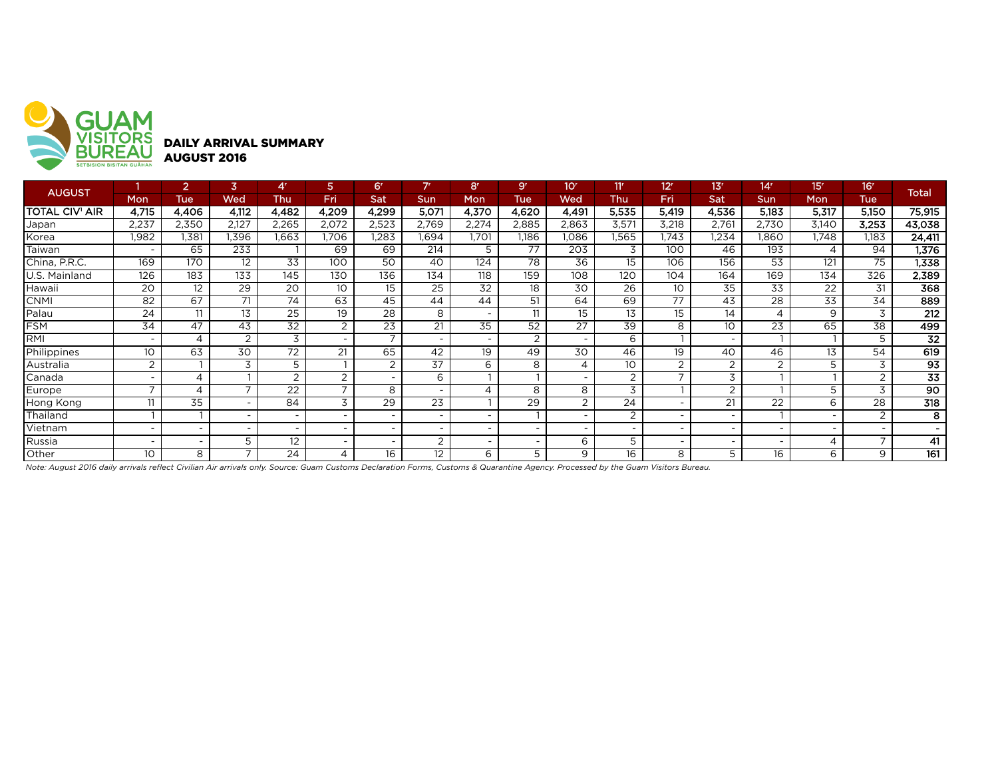

| <b>AUGUST</b>         |                          | 2                        | 3                        | 4'                       | 5               | <b>67</b>                | 7r                       | 8 <sup>r</sup>              | 9 <sup>r</sup>  | 10 <sup>r</sup>          | 11'             | 12 <sup>r</sup>          | 13'                      | 14'                      | 15'            | 16'                      | Total            |
|-----------------------|--------------------------|--------------------------|--------------------------|--------------------------|-----------------|--------------------------|--------------------------|-----------------------------|-----------------|--------------------------|-----------------|--------------------------|--------------------------|--------------------------|----------------|--------------------------|------------------|
|                       | <b>Mon</b>               | <b>Tue</b>               | Wed                      | Thu                      | Fri             | Sat                      | Sun                      | Mon                         | Tue             | Wed                      | Thu             | Fri                      | Sat                      | Sun                      | <b>Mon</b>     | <b>Tue</b>               |                  |
| <b>TOTAL CIV' AIR</b> | 4,715                    | 4,406                    | 4,112                    | 4,482                    | 4,209           | 4,299                    | 5,071                    | 4,370                       | 4,620           | 4,491                    | 5,535           | 5,419                    | 4,536                    | 5,183                    | 5,317          | 5,150                    | 75,915           |
| Japan                 | 2,237                    | 2,350                    | 2,127                    | 2,265                    | 2,072           | 2,523                    | 2,769                    | 2,274                       | 2,885           | 2,863                    | 3,571           | 3,218                    | 2,761                    | 2,730                    | 3,140          | 3,253                    | 43,038           |
| Korea                 | 1,982                    | 1,381                    | .396                     | .663                     | .706            | 1,283                    | 1.694                    | .701                        | 1,186           | 1,086                    | I,565           | .743                     | 1,234                    | .860                     | 1.748          | 1.183                    | 24,411           |
| Taiwan                | $\overline{\phantom{a}}$ | 65                       | 233                      |                          | 69              | 69                       | 214                      | 5                           | 77              | 203                      | 3               | 100                      | 46                       | 193                      | 4              | 94                       | 1,376            |
| China, P.R.C.         | 169                      | 170                      | $12 \overline{ }$        | 33                       | 100             | 50                       | 40                       | 124                         | 78              | 36                       | 15              | 106                      | 156                      | 53                       | 121            | 75                       | 1,338            |
| U.S. Mainland         | 126                      | 183                      | 133                      | 145                      | 130             | 136                      | 134                      | 118                         | 159             | 108                      | 120             | 104                      | 164                      | 169                      | 134            | 326                      | 2,389            |
| Hawaii                | 20                       | 12                       | 29                       | 20                       | 10 <sup>°</sup> | 15                       | 25                       | 32                          | 18              | 30                       | 26              | 10                       | 35                       | 33                       | 22             | 31                       | 368              |
| <b>CNMI</b>           | $\overline{82}$          | 67                       | 71                       | 74                       | 63              | 45                       | 44                       | 44                          | 51              | 64                       | 69              | 77                       | 43                       | 28                       | 33             | 34                       | 889              |
| Palau                 | 24                       | 11                       | 13                       | 25                       | 19              | $\overline{28}$          | 8                        |                             | 11              | 15                       | 13              | 15 <sup>15</sup>         | 14                       | $\overline{\mathcal{A}}$ | 9              | 3                        | 212              |
| <b>FSM</b>            | 34                       | 47                       | 43                       | $\overline{32}$          | 2               | $\overline{23}$          | 21                       | 35                          | $\overline{52}$ | 27                       | $\overline{39}$ | 8                        | 10 <sup>°</sup>          | 23                       | 65             | $\overline{38}$          | 499              |
| RMI                   | $\overline{\phantom{0}}$ | 4                        | 2                        | 3                        |                 |                          |                          |                             | 2               | $\overline{\phantom{0}}$ | 6               |                          | $\overline{\phantom{a}}$ |                          |                | 5                        | $\overline{32}$  |
| Philippines           | 10                       | 63                       | 30                       | 72                       | 21              | 65                       | 42                       | 19                          | 49              | 30                       | 46              | 19                       | 40                       | 46                       | 13             | 54                       | 619              |
| Australia             | 2                        |                          | 3                        | 5                        |                 | $\overline{2}$           | 37                       | 6                           | 8               | $\overline{4}$           | 10              | 2                        | 2                        | 2                        | 5              | 3                        | 93               |
| Canada                | $\overline{\phantom{0}}$ | 4                        |                          | ົ                        | 2               |                          | 6                        |                             |                 | $\overline{\phantom{0}}$ | 2               |                          | 3                        |                          |                | $\overline{2}$           | $\overline{33}$  |
| Europe                | $\overline{ }$           | 4                        | $\overline{\phantom{0}}$ | $\overline{22}$          | ⇁               | 8                        |                          | $\boldsymbol{\vartriangle}$ | 8               | 8                        | 3               |                          | 2                        |                          | 5              | 3                        | 90               |
| Hong Kong             | 11                       | 35                       | $\overline{\phantom{a}}$ | 84                       | 3               | 29                       | 23                       |                             | 29              | 2                        | 24              | $\overline{\phantom{a}}$ | 21                       | 22                       | 6              | 28                       | $\overline{318}$ |
| Thailand              |                          |                          | $\sim$                   |                          |                 |                          |                          |                             |                 |                          | 2               | $\sim$                   | $\overline{\phantom{0}}$ |                          |                | 2                        | $\overline{8}$   |
| Vietnam               | $\overline{\phantom{a}}$ | $\overline{\phantom{a}}$ | $\sim$                   | $\overline{\phantom{0}}$ |                 | $\overline{\phantom{0}}$ | $\overline{\phantom{a}}$ |                             |                 | $\overline{\phantom{0}}$ | $\overline{a}$  | $\overline{\phantom{a}}$ | $\overline{\phantom{a}}$ |                          |                |                          |                  |
| Russia                | $\overline{\phantom{a}}$ | $\overline{\phantom{a}}$ | 5                        | 12                       |                 |                          | $\Omega$                 |                             |                 | 6                        | 5               | $\sim$                   | $\overline{\phantom{0}}$ |                          | $\overline{4}$ | $\overline{\phantom{0}}$ | 41               |
| Other                 | 10                       | 8                        |                          | 24                       | 4               | 16                       | 12                       | 6                           | 5               | 9                        | 16              | 8                        | 5                        | 16                       | 6              | 9                        | 161              |

*Note: August 2016 daily arrivals reflect Civilian Air arrivals only. Source: Guam Customs Declaration Forms, Customs & Quarantine Agency. Processed by the Guam Visitors Bureau.*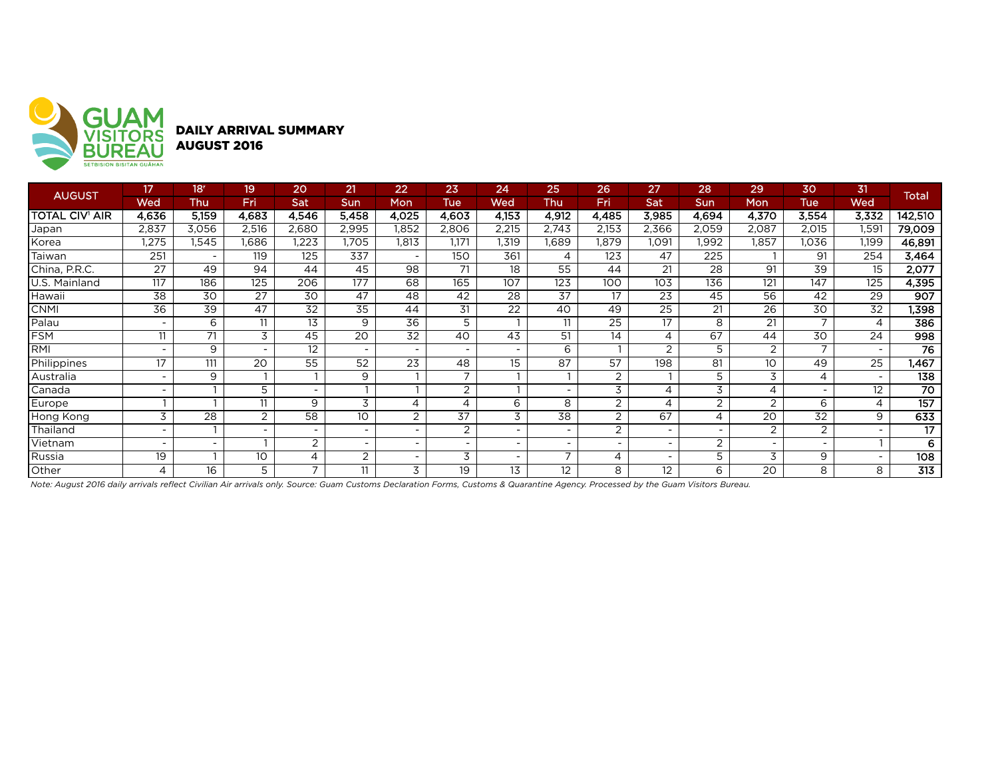

DAILY ARRIVAL SUMMARY AUGUST 2016

| <b>AUGUST</b>         | 17                       | 18 <sup>r</sup> | 19                       | 20                       | 21                       | 22                       | 23              | 24                       | 25                       | 26             | 27                       | 28                       | 29              | 30                       | 31                       | <b>Total</b>    |
|-----------------------|--------------------------|-----------------|--------------------------|--------------------------|--------------------------|--------------------------|-----------------|--------------------------|--------------------------|----------------|--------------------------|--------------------------|-----------------|--------------------------|--------------------------|-----------------|
|                       | Wed                      | Thu             | Fri                      | Sat                      | Sun                      | Mon                      | Tue             | Wed                      | Thu                      | Fri            | Sat                      | Sun                      | Mon             | Tue                      | Wed                      |                 |
| <b>TOTAL CIV' AIR</b> | 4,636                    | 5,159           | 4,683                    | 4,546                    | 5,458                    | 4,025                    | 4,603           | 4,153                    | 4,912                    | 4,485          | 3,985                    | 4,694                    | 4,370           | 3,554                    | 3,332                    | 142,510         |
| Japan                 | 2,837                    | 3,056           | 2,516                    | 2,680                    | 2,995                    | 1,852                    | 2,806           | 2,215                    | 2,743                    | 2,153          | 2,366                    | 2,059                    | 2,087           | 2,015                    | 1,591                    | 79,009          |
| Korea                 | ,275                     | l,545           | 1,686                    | .223                     | ,705                     | 1,813                    | 1.171           | 1,319                    | l,689                    | I,879          | 1,091                    | .992                     | 1,857           | 1,036                    | 1,199                    | 46,891          |
| Taiwan                | 251                      | ٠               | 119                      | 125                      | 337                      | <b>.</b>                 | 150             | 361                      | 4                        | 123            | 47                       | 225                      |                 | 91                       | 254                      | 3,464           |
| China, P.R.C.         | 27                       | 49              | 94                       | 44                       | 45                       | 98                       | 71              | 18                       | 55                       | 44             | 21                       | 28                       | 91              | 39                       | 15                       | 2,077           |
| U.S. Mainland         | 117                      | 186             | 125                      | 206                      | 177                      | 68                       | 165             | 107                      | 123                      | 100            | 103                      | 136                      | 121             | 147                      | 125                      | 4,395           |
| Hawaii                | $\overline{38}$          | 30              | 27                       | 30                       | 47                       | 48                       | 42              | 28                       | 37                       | 17             | 23                       | 45                       | 56              | 42                       | 29                       | 907             |
| <b>CNMI</b>           | 36                       | 39              | 47                       | 32                       | 35                       | 44                       | 31              | 22                       | 40                       | 49             | 25                       | 21                       | 26              | 30                       | 32                       | 1,398           |
| Palau                 | $\overline{\phantom{0}}$ | 6               | 11                       | 13                       | 9                        | 36                       | 5               |                          | 11                       | 25             | $\overline{17}$          | 8                        | 21              |                          | 4                        | 386             |
| <b>FSM</b>            | 11                       | 71              | 3                        | 45                       | 20                       | 32                       | 40              | 43                       | 51                       | 14             | 4                        | 67                       | 44              | 30                       | 24                       | 998             |
| RMI                   |                          | 9               | $\overline{\phantom{a}}$ | 12                       | $\overline{\phantom{a}}$ | $\overline{\phantom{a}}$ |                 |                          | 6                        |                | $\overline{2}$           | 5                        | $\overline{2}$  | $\overline{\phantom{a}}$ | $\overline{\phantom{a}}$ | $\overline{76}$ |
| Philippines           | 17                       | 111             | 20                       | 55                       | 52                       | 23                       | 48              | 15                       | 87                       | 57             | 198                      | 81                       | 10 <sup>°</sup> | 49                       | 25                       | 1,467           |
| Australia             |                          | 9               |                          |                          | 9                        |                          |                 |                          |                          | 2              |                          | 5                        | 3               | 4                        |                          | 138             |
| Canada                |                          |                 | 5                        | $\overline{\phantom{a}}$ |                          |                          | $\overline{2}$  |                          |                          | 3              | 4                        | 3                        | 4               |                          | 12                       | 70              |
| Europe                |                          |                 | 11                       | 9                        | 3                        | 4                        | 4               | 6                        | 8                        | 2              | 4                        | $\overline{2}$           | 2               | 6                        | 4                        | 157             |
| Hong Kong             | 3                        | 28              | 2                        | 58                       | 10                       | $\overline{2}$           | $\overline{37}$ | 3                        | 38                       | $\overline{2}$ | 67                       | 4                        | 20              | 32                       | 9                        | 633             |
| Thailand              | $\overline{\phantom{0}}$ |                 | $\overline{\phantom{a}}$ | $\overline{\phantom{a}}$ | $\overline{\phantom{a}}$ | $\overline{\phantom{a}}$ | 2               | $\overline{\phantom{a}}$ | $\overline{\phantom{0}}$ | $\overline{2}$ | $\overline{\phantom{0}}$ | $\overline{\phantom{a}}$ | $\overline{2}$  | $\overline{2}$           | $\overline{\phantom{a}}$ | $\overline{17}$ |
| Vietnam               |                          |                 |                          | 2                        | $\overline{\phantom{a}}$ | ۰                        |                 | $\overline{\phantom{a}}$ |                          | ۰              | $\overline{\phantom{a}}$ | 2                        |                 |                          |                          | 6               |
| Russia                | 19                       |                 | 10                       | 4                        | 2                        |                          | 3               | -                        | ⇁                        | 4              | $\overline{\phantom{0}}$ | 5                        | 3               | 9                        | $\overline{\phantom{a}}$ | 108             |
| Other                 | 4                        | 16              | 5                        | $\overline{\phantom{a}}$ | 11                       | 3                        | 19              | 13                       | 12                       | 8              | $12 \overline{ }$        | 6                        | 20              | 8                        | 8                        | 313             |

*Note: August 2016 daily arrivals reflect Civilian Air arrivals only. Source: Guam Customs Declaration Forms, Customs & Quarantine Agency. Processed by the Guam Visitors Bureau.*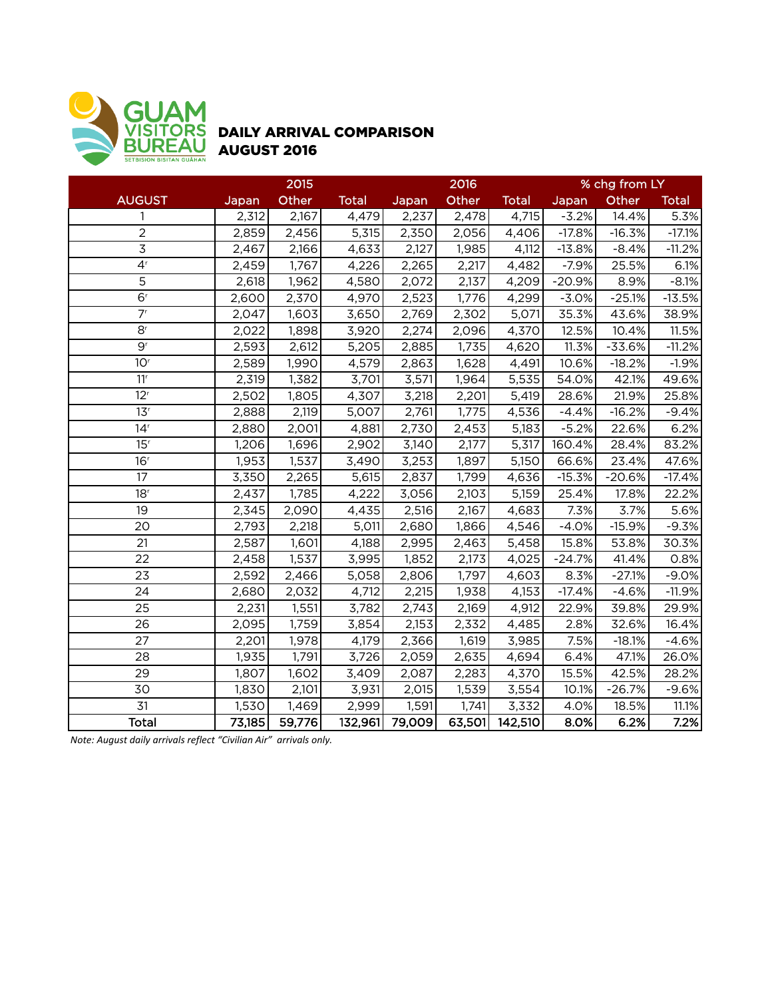

## DAILY ARRIVAL COMPARISON AUGUST 2016

|                             |        | 2015   |              |        | 2016   |              |          | % chg from LY |              |
|-----------------------------|--------|--------|--------------|--------|--------|--------------|----------|---------------|--------------|
| <b>AUGUST</b>               | Japan  | Other  | <b>Total</b> | Japan  | Other  | <b>Total</b> | Japan    | Other         | <b>Total</b> |
| 1                           | 2,312  | 2,167  | 4,479        | 2,237  | 2,478  | 4,715        | $-3.2%$  | 14.4%         | 5.3%         |
| $\overline{2}$              | 2,859  | 2,456  | 5,315        | 2,350  | 2,056  | 4,406        | $-17.8%$ | $-16.3%$      | $-17.1%$     |
| $\overline{3}$              | 2,467  | 2,166  | 4,633        | 2,127  | 1,985  | 4,112        | $-13.8%$ | $-8.4%$       | $-11.2%$     |
| 4 <sup>r</sup>              | 2,459  | 1,767  | 4,226        | 2,265  | 2,217  | 4,482        | $-7.9%$  | 25.5%         | 6.1%         |
| 5                           | 2,618  | 1,962  | 4,580        | 2,072  | 2,137  | 4,209        | $-20.9%$ | 8.9%          | $-8.1%$      |
| 6 <sup>r</sup>              | 2,600  | 2,370  | 4,970        | 2,523  | 1,776  | 4,299        | $-3.0%$  | $-25.1%$      | $-13.5%$     |
| 7 <sup>r</sup>              | 2,047  | 1,603  | 3,650        | 2,769  | 2,302  | 5,071        | 35.3%    | 43.6%         | 38.9%        |
| 8 <sup>r</sup>              | 2,022  | 1,898  | 3,920        | 2,274  | 2,096  | 4,370        | 12.5%    | 10.4%         | 11.5%        |
| $\overline{9}$ <sup>r</sup> | 2,593  | 2,612  | 5,205        | 2,885  | 1,735  | 4,620        | 11.3%    | $-33.6%$      | $-11.2%$     |
| 10 <sup>r</sup>             | 2,589  | 1,990  | 4,579        | 2,863  | 1,628  | 4,491        | 10.6%    | $-18.2%$      | $-1.9%$      |
| 11 <sup>r</sup>             | 2,319  | 1,382  | 3,701        | 3,571  | 1,964  | 5,535        | 54.0%    | 42.1%         | 49.6%        |
| 12 <sup>r</sup>             | 2,502  | 1,805  | 4,307        | 3,218  | 2,201  | 5,419        | 28.6%    | 21.9%         | 25.8%        |
| 13 <sup>r</sup>             | 2,888  | 2,119  | 5,007        | 2,761  | 1,775  | 4,536        | $-4.4%$  | $-16.2%$      | $-9.4%$      |
| 14 <sup>r</sup>             | 2,880  | 2,001  | 4,881        | 2,730  | 2,453  | 5,183        | $-5.2%$  | 22.6%         | 6.2%         |
| 15 <sup>r</sup>             | 1,206  | 1,696  | 2,902        | 3,140  | 2,177  | 5,317        | 160.4%   | 28.4%         | 83.2%        |
| 16 <sup>r</sup>             | 1,953  | 1,537  | 3,490        | 3,253  | 1,897  | 5,150        | 66.6%    | 23.4%         | 47.6%        |
| 17                          | 3,350  | 2,265  | 5,615        | 2,837  | 1,799  | 4,636        | $-15.3%$ | $-20.6%$      | $-17.4%$     |
| 18 <sup>r</sup>             | 2,437  | 1,785  | 4,222        | 3,056  | 2,103  | 5,159        | 25.4%    | 17.8%         | 22.2%        |
| 19                          | 2,345  | 2,090  | 4,435        | 2,516  | 2,167  | 4,683        | 7.3%     | 3.7%          | 5.6%         |
| 20                          | 2,793  | 2,218  | 5,011        | 2,680  | 1,866  | 4,546        | $-4.0%$  | $-15.9%$      | $-9.3%$      |
| 21                          | 2,587  | 1,601  | 4,188        | 2,995  | 2,463  | 5,458        | 15.8%    | 53.8%         | 30.3%        |
| 22                          | 2,458  | 1,537  | 3,995        | 1,852  | 2,173  | 4,025        | $-24.7%$ | 41.4%         | 0.8%         |
| 23                          | 2,592  | 2,466  | 5,058        | 2,806  | 1,797  | 4,603        | 8.3%     | $-27.1%$      | $-9.0%$      |
| 24                          | 2,680  | 2,032  | 4,712        | 2,215  | 1,938  | 4,153        | $-17.4%$ | $-4.6%$       | $-11.9%$     |
| 25                          | 2,231  | 1,551  | 3,782        | 2,743  | 2,169  | 4,912        | 22.9%    | 39.8%         | 29.9%        |
| 26                          | 2,095  | 1,759  | 3,854        | 2,153  | 2,332  | 4,485        | 2.8%     | 32.6%         | 16.4%        |
| 27                          | 2,201  | 1,978  | 4,179        | 2,366  | 1,619  | 3,985        | 7.5%     | $-18.1%$      | $-4.6%$      |
| 28                          | 1,935  | 1,791  | 3,726        | 2,059  | 2,635  | 4,694        | 6.4%     | 47.1%         | 26.0%        |
| 29                          | 1,807  | 1,602  | 3,409        | 2,087  | 2,283  | 4,370        | 15.5%    | 42.5%         | 28.2%        |
| 30                          | 1,830  | 2,101  | 3,931        | 2,015  | 1,539  | 3,554        | 10.1%    | $-26.7%$      | $-9.6%$      |
| 31                          | 1,530  | 1,469  | 2,999        | 1,591  | 1,741  | 3,332        | 4.0%     | 18.5%         | 11.1%        |
| <b>Total</b>                | 73,185 | 59,776 | 132,961      | 79,009 | 63,501 | 142,510      | 8.0%     | 6.2%          | 7.2%         |

*Note: August daily arrivals reflect "Civilian Air" arrivals only.*